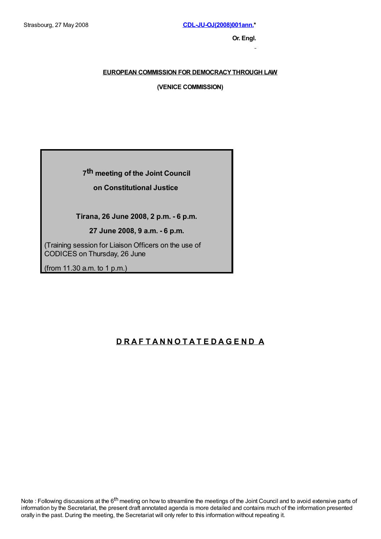**Or. Engl.**

# **EUROPEAN COMMISSION FOR DEMOCRACYTHROUGH LAW**

**(VENICE COMMISSION)**

# **7 th meeting of the Joint Council**

# **on Constitutional Justice**

# **Tirana, 26 June 2008, 2 p.m. - 6 p.m.**

**27 June 2008, 9 a.m. - 6 p.m.**

(Training session for Liaison Officers on the use of CODICES on Thursday, 26 June

(from 11.30 a.m. to 1 p.m.)

# **D R A F T A N N O T A T E D A G E N D A**

Note : Following discussions at the 6<sup>th</sup> meeting on how to streamline the meetings of the Joint Council and to avoid extensive parts of information by the Secretariat, the present draft annotated agenda is more detailed and contains much of the information presented orally in the past. During the meeting, the Secretariat will only refer to this information without repeating it.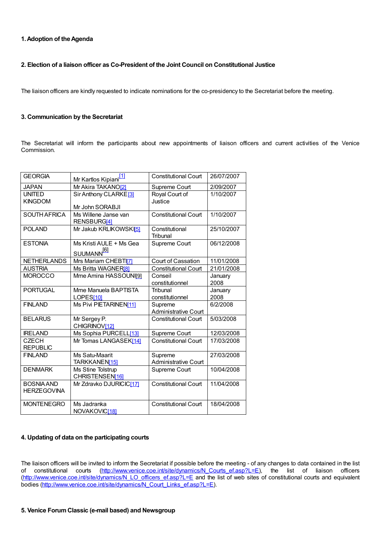# **1.Adoption of theAgenda**

# **2. Election of a liaison officer as Co-President of the Joint Council on Constitutional Justice**

The liaison officers are kindly requested to indicate nominations for the co-presidency to the Secretariat before the meeting.

## **3. Communication by the Secretariat**

The Secretariat will inform the participants about new appointments of liaison officers and current activities of the Venice Commission.

| <b>GEORGIA</b>                          | Mr Kartlos Kipiani <sup>[1]</sup>                    | <b>Constitutional Court</b>            | 26/07/2007      |
|-----------------------------------------|------------------------------------------------------|----------------------------------------|-----------------|
| <b>JAPAN</b>                            | Mr Akira TAKANO[2]                                   | Supreme Court                          | 2/09/2007       |
| <b>UNITED</b><br><b>KINGDOM</b>         | Sir Anthony CLARKE <sup>[3]</sup><br>Mr John SORABJI | Royal Court of<br>Justice              | 1/10/2007       |
| <b>SOUTH AFRICA</b>                     | Ms Willene Janse van<br>RENSBURG[4]                  | <b>Constitutional Court</b>            | 1/10/2007       |
| <b>POLAND</b>                           | Mr Jakub KRLIKOWSKI51                                | Constitutional<br>Tribunal             | 25/10/2007      |
| <b>ESTONIA</b>                          | Ms Kristi AULE + Ms Gea<br>SUUMANN <sup>[6]</sup>    | Supreme Court                          | 06/12/2008      |
| <b>NETHERLANDS</b>                      | Mrs Mariam CHEBTI7                                   | Court of Cassation                     | 11/01/2008      |
| <b>AUSTRIA</b>                          | Ms Britta WAGNER[8]                                  | <b>Constitutional Court</b>            | 21/01/2008      |
| <b>MOROCCO</b>                          | Mme Amina HASSOUNI[9]                                | Conseil<br>constitutionnel             | January<br>2008 |
| <b>PORTUGAL</b>                         | Mme Manuela BAPTISTA<br>LOPES[10]                    | Tribunal<br>constitutionnel            | January<br>2008 |
| <b>FINLAND</b>                          | Ms Pivi PIETARINEN[11]                               | Supreme<br><b>Administrative Court</b> | 6/2/2008        |
| <b>BELARUS</b>                          | Mr Sergey P.<br>CHIGRINOV[12]                        | <b>Constitutional Court</b>            | 5/03/2008       |
| <b>IRELAND</b>                          | Ms Sophia PURCELL[13]                                | Supreme Court                          | 12/03/2008      |
| <b>CZECH</b><br><b>REPUBLIC</b>         | Mr Tomas LANGASEK[14]                                | <b>Constitutional Court</b>            | 17/03/2008      |
| <b>FINLAND</b>                          | Ms Satu-Maarit<br>TARKKANEN[15]                      | Supreme<br><b>Administrative Court</b> | 27/03/2008      |
| <b>DENMARK</b>                          | Ms Stine Tolstrup<br>CHRISTENSEN[16]                 | Supreme Court                          | 10/04/2008      |
| <b>BOSNIA AND</b><br><b>HERZEGOVINA</b> | Mr Zdravko DJURICIC[17]                              | <b>Constitutional Court</b>            | 11/04/2008      |
| <b>MONTENEGRO</b>                       | Ms Jadranka<br>NOVAKOVIC <sup>[18]</sup>             | <b>Constitutional Court</b>            | 18/04/2008      |

# **4. Updating of data on the participating courts**

The liaison officers will be invited to inform the Secretariat if possible before the meeting - of any changes to data contained in the list of constitutional courts [\(http://www.venice.coe.int/site/dynamics/N\\_Courts\\_ef.asp?L=E](http://www.venice.coe.int/site/dynamics/N_Courts_ef.asp?L=E)), the list of liaison officers ([http://www.venice.coe.int/site/dynamics/N\\_LO\\_officers\\_ef.asp?L=E](http://www.venice.coe.int/site/dynamics/N_LO_officers_ef.asp?L=E) and the list of web sites of constitutional courts and equivalent bodies [\(http://www.venice.coe.int/site/dynamics/N\\_Court\\_Links\\_ef.asp?L=E](http://www.venice.coe.int/site/dynamics/N_Court_Links_ef.asp?L=E)).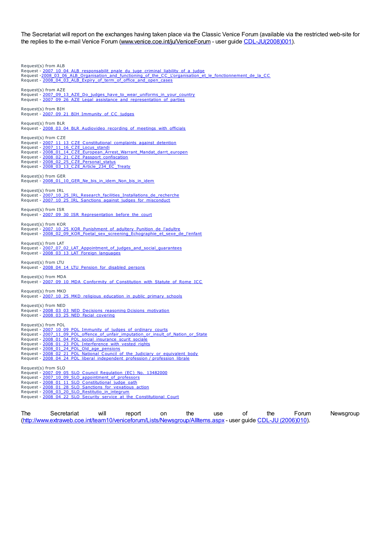The Secretariat will report on the exchanges having taken place via the Classic Venice Forum (available via the restricted web-site for the replies to the e-mail Venice Forum [\(www.venice.coe.int/ju/VeniceForum](http://www.venice.coe.int/ju/VeniceForum) - user guide [CDL-JU\(2008\)001](E:../restricted/2008/CDL-JU(2008)001-e.asp)).

Request(s) from ALB Request - [2007\\_10\\_04\\_ALB\\_responsabilit\\_pnale\\_du\\_juge\\_criminal\\_liability\\_of\\_a\\_judge](http://www.venice.coe.int/ju/VeniceForum/ALB/2007_10_04_ALB_responsabilit_pnale_du_juge_criminal_liability_of_a_judge/2007_10_04_ALB_responsabilit_pnale_du_juge_criminal_liability_of_a_judge.htm)<br>Request [-2008\\_03\\_06\\_ALB\\_Organisation\\_and\\_functioning\\_of\\_the\\_CC\\_L'organisation\\_et\\_le\\_fonctionnement\\_de\\_la\\_CC](http://www.venice.coe.int/ju/VeniceForum/ALB/2008_03_06_ALB_Organisation_and_functioning_of_the_CC_L)\_ Request - [2008\\_04\\_03\\_ALB\\_Expiry\\_of\\_term\\_of\\_office\\_and\\_open\\_cases](http://www.venice.coe.int/ju/VeniceForum/ALB/2008_04_03_ALB_Expiry_of_term_of_office_and_open_cases/2008_04_03_ALB_Expiry_of_term_of_office_and_open_cases.htm) Request(s) from AZE Request - [2007\\_09\\_13\\_AZE\\_Do\\_judges\\_have\\_to\\_wear\\_uniforms\\_in\\_your\\_country](http://www.venice.coe.int/ju/VeniceForum/AZE/2007_09_13_AZE_Do_judges_have_to_wear_uniforms_in_your_country/2007_09_13_AZE_Do_judges_have_to_wear_uniforms_in_your_country.htm)\_<br>Request - [2007\\_09\\_26\\_AZE\\_Legal\\_assistance\\_and\\_representation\\_of\\_parties](http://www.venice.coe.int/ju/VeniceForum/AZE/2007_09_26_AZE_Legal_assistance_and_representation_of_parties/2007_09_26_AZE_Legal_assistance_and_representation_of_parties.htm) Request(s) from BIH Request - [2007\\_09\\_21\\_BIH\\_Immunity\\_of\\_CC\\_judges](http://www.venice.coe.int/ju/VeniceForum/BIH/2007_09_21_BIH_Immunity_of_CC_judges/2007_09_21_BIH_Immunity_of_CC_judges.htm) Request(s) from BLR Request - [2008\\_03\\_04\\_BLR\\_Audiovideo\\_recording\\_of\\_meetings\\_with\\_officials](http://www.venice.coe.int/ju/VeniceForum/BLR/2008_03_04_BLR_Audiovideo_recording_of_meetings_with_officials/2008_03_04_BLR_Audiovideo_recording_of_meetings_with_officials.htm) Request(s) from CZE Request - [2007\\_11\\_13\\_CZE\\_Constitutional\\_complaints\\_against\\_detention](http://www.venice.coe.int/ju/VeniceForum/CZE/2007_11_13_CZE_Constitutional_complaints_against_detention/2007_11_13_CZE_Constitutional_complaints_against_detention.htm)\_<br>Request - [2007\\_11\\_16\\_CZE\\_Locus\\_standi](http://www.venice.coe.int/ju/VeniceForum/CZE/2007_11_16_CZE_Locus_standi/2007_11_16_CZE_Locus_standi.htm) Request - <u>[2008\\_01\\_14\\_CZE\\_European\\_Arrest\\_Warrant\\_Mandat\\_darrt\\_europen](http://www.venice.coe.int/ju/VeniceForum/CZE/2008_01_14_CZE_European_Arrest_Warrant_Mandat_darrt_europen/2008_01_14_CZE_European_Arrest_Warrant_Mandat_darrt_europen.htm)</u><br>Request - <u>[2008\\_02\\_21\\_CZE\\_Passport\\_confiscation](http://www.venice.coe.int/ju/VeniceForum/CZE/2008_02_21_CZE_Passport_confiscation/2008_02_21_CZE_Passport_confiscation.htm)</u><br>Request - <u>[2008\\_02\\_25\\_CZE\\_Personal\\_status](http://www.venice.coe.int/ju/VeniceForum/CZE/2008_02_25_CZE_Personal_status/2008_02_25_CZE_Personal_status.htm)</u> Request - [2008\\_03\\_13\\_CZE\\_Article\\_234\\_EC\\_Treaty](http://www.venice.coe.int/ju/VeniceForum/CZE/2008_03_13_CZE_Article_234_EC_Treaty/2008_03_13_CZE_Article_234_EC_Treaty.htm) Request(s) from GER Request - [2008\\_01\\_10\\_GER\\_Ne\\_bis\\_in\\_idem\\_Non\\_bis\\_in\\_idem](http://www.venice.coe.int/ju/VeniceForum/GER/2008_01_10_GER_Ne_bis_in_idem_Non_bis_in_idem/2008_01_10_GER_Ne_bis_in_idem_Non_bis_in_idem.htm) Request(s) from IRL Request - [2007\\_10\\_25\\_IRL\\_Research\\_facilities\\_Installations\\_de\\_recherche](http://www.venice.coe.int/ju/VeniceForum/IRL/2007_10_25_IRL_Research_facilities_Installations_de_recherche/2007_10_25_IRL_Research_facilities_Installations_de_recherche.htm)<br>Request - [2007\\_10\\_25\\_IRL\\_Sanctions\\_against\\_judges\\_for\\_misconduct](http://www.venice.coe.int/ju/VeniceForum/IRL/2007_10_25_IRL_Sanctions_against_judges_for_misconduct/2007_10_25_IRL_Sanctions_against_judges_for_misconduct.htm) Request(s) from ISR Request - [2007\\_09\\_30\\_ISR\\_Representation\\_before\\_the\\_court](http://www.venice.coe.int/ju/VeniceForum/ISR/2007_09_30_ISR_Representation_before_the_court/2007_09_30_ISR_Representation_before_the_court.htm) Request(s) from KOR Request - [2007\\_10\\_25\\_KOR\\_Punishment\\_of\\_adultery\\_Punition\\_de\\_l'adultre](http://www.venice.coe.int/ju/VeniceForum/KOR/2007_10_25_KOR_Punishment_of_adultery_Punition_de_l)<br>Request - [2008\\_02\\_09\\_KOR\\_Foetal\\_sex\\_screening\\_Echographie\\_et\\_sexe\\_de\\_l'enfant](http://www.venice.coe.int/ju/VeniceForum/KOR/2008_02_09_KOR_Foetal_sex_screening_Echographie_et_sexe_de_l) Request(s) from LAT Request - [2007\\_07\\_02\\_LAT\\_Appointment\\_of\\_judges\\_and\\_social\\_guarantees](http://www.venice.coe.int/ju/VeniceForum/LAT/2007_07_02_LAT_Appointment_of_judges_and_social_guarantees/2007_07_02_LAT_Appointment_of_judges_and_social_guarantees.htm) Request - 2008 03 13 LAT Foreign\_languages Request(s) from LTU Request - [2008\\_04\\_14\\_LTU\\_Pension\\_for\\_disabled\\_persons](http://www.venice.coe.int/ju/VeniceForum/LTU/2008_04_14_LTU_Pension_for_disabled_persons/2008_04_14_LTU_Pension_for_disabled_persons.htm) Request(s) from MDA Request - [2007\\_09\\_10\\_MDA\\_Conformity\\_of\\_Constitution\\_with\\_Statute\\_of\\_Rome\\_ICC](http://www.venice.coe.int/ju/VeniceForum/MDA/2007_09_10_MDA_Conformity_of_Constitution_with_Statute_of_Rome_ICC/2007_09_10_MDA_Conformity_of_Constitution_with_Statute_of_Rome_ICC.htm) Request(s) from MKD Request - [2007\\_10\\_25\\_MKD\\_religious\\_education\\_in\\_public\\_primary\\_schools](http://www.venice.coe.int/ju/VeniceForum/MKD/2007_10_25_MKD_religious_education_in_public_primary_schools/2007_10_25_MKD_religious_education_in_public_primary_schools.htm) Request(s) from NED Request - <u>[2008\\_03\\_03\\_NED\\_Decisions\\_reasoning](http://www.venice.coe.int/ju/VeniceForum/NED/2008_03_03_NED_Decisions_reasoningDcisions_motivation/2008_03_03_NED_Decisions_reasoningDcisions_motivation.htm) Dcisions\_motivation</u><br>Request - <u>[2008\\_03\\_25\\_NED\\_Facial\\_covering](http://www.venice.coe.int/ju/VeniceForum/NED/2008_03_25_NED_Facial_covering/2008_03_25_NED_Facial_covering.htm)</u> Request(s) from POL Request - [2007\\_10\\_09\\_POL\\_Immunity\\_of\\_judges\\_of\\_ordinary\\_courts](http://www.venice.coe.int/ju/VeniceForum/POL/2007_10_09_POL_Immunity_of_judges_of_ordinary_courts/2007_10_09_POL_Immunity_of_judges_of_ordinary_courts.htm)<br>Request - [2007\\_11\\_09\\_POL\\_offence\\_of\\_unfair\\_imputation\\_or\\_insult\\_of\\_Nation\\_or\\_State](http://www.venice.coe.int/ju/VeniceForum/POL/2007_11_09_POL_offence_of_unfair_imputation_or_insult_of_Nation_or_State/2007_11_09_POL_offence_of_unfair_imputation_or_insult_of_Nation_or_State.htm) Request - [2008\\_01\\_04\\_POL\\_social\\_insurance\\_scurit\\_sociale](http://www.venice.coe.int/ju/VeniceForum/POL/2008_01_04_POL_social_insurance_scurit_sociale/2008_01_04_POL_social_insurance_scurit_sociale.htm)<br>Request - [2008\\_01\\_23\\_POL\\_Interference\\_with\\_vested\\_rights](http://www.venice.coe.int/ju/VeniceForum/POL/2008_01_23_POL_Interference_with_vested_rights/2008_01_23_POL_Interference_with_vested_rights.htm)<br>Request - [2008\\_01\\_24\\_POL\\_Old\\_age\\_pensions](http://www.venice.coe.int/ju/VeniceForum/POL/2008_01_24_POL_Old_age_pensions/2008_01_24_POL_Old_age_pensions.htm) Request - [2008\\_02\\_21\\_POL\\_National\\_Council\\_of\\_the\\_Judiciary\\_or\\_equivalent\\_body](http://www.venice.coe.int/ju/VeniceForum/POL/2008_02_21_POL_National_Council_of_the_Judiciary_or_equivalent_body/2008_02_21_POL_National_Council_of_the_Judiciary_or_equivalent_body.htm)\_<br>Request - [2008\\_04\\_24\\_POL\\_liberal\\_independent\\_profession](http://www.venice.coe.int/ju/VeniceForum/POL/2008_04_24_POL_liberal_independent_professionprofession_librale/2008_04_24_POL_liberal_independent_professionprofession_librale.htm) / profession\_librale Request(s) from SLO Request - <u>[2007\\_09\\_05\\_SLO\\_Council\\_Regulation\\_\(EC\)\\_No.\\_13482000](http://www.venice.coe.int/ju/VeniceForum/SLO/2007_09_05_SLO_Council_Regulation_(EC)_No._13482000/2007_09_05_SLO_Council_Regulation_(EC)_No._13482000.htm)</u><br>Request - <u>[2007\\_10\\_09\\_SLO\\_appointment\\_of\\_professors](http://www.venice.coe.int/ju/VeniceForum/SLO/2007_10_09_SLO_appointment_of_professors/2007_10_09_SLO_appointment_of_professors.htm)</u> Request - [2008\\_01\\_11\\_SLO\\_Constitutional\\_judge\\_oath](http://www.venice.coe.int/ju/VeniceForum/SLO/2008_01_11_SLO_Constitutional_judge_oath/2008_01_11_SLO_Constitutional_judge_oath.htm) Request - <u>[2008\\_01\\_28\\_SLO\\_Sanctions\\_for\\_vexatious\\_action](http://www.venice.coe.int/ju/VeniceForum/SLO/2008_01_28_SLO_Sanctions_for_vexatious_action/2008_01_28_SLO_Sanctions_for_vexatious_action.htm)</u><br>Request - <u>[2008\\_03\\_20\\_SLO\\_Restitutio\\_in\\_integrum](http://www.venice.coe.int/ju/VeniceForum/SLO/2008_03_20_SLO_Restitutio_in_integrum/2008_03_20_SLO_Restitutio_in_integrum.htm)</u> Request - [2008\\_04\\_22\\_SLO\\_Security\\_service\\_at\\_the\\_Constitutional\\_Court](http://www.venice.coe.int/ju/VeniceForum/SLO/2008_04_22_SLO_Security_service_at_the_Constitutional_Court/2008_04_22_SLO_Security_service_at_the_Constitutional_Court.htm)

The Secretariat will report on the use of the Forum Newsgroup (<http://www.extraweb.coe.int/team10/veniceforum/Lists/Newsgroup/AllItems.aspx> - user guide CDL-JU [\(2006\)010](E:../docs/2006/CDL-JU(2006)010-e.asp)).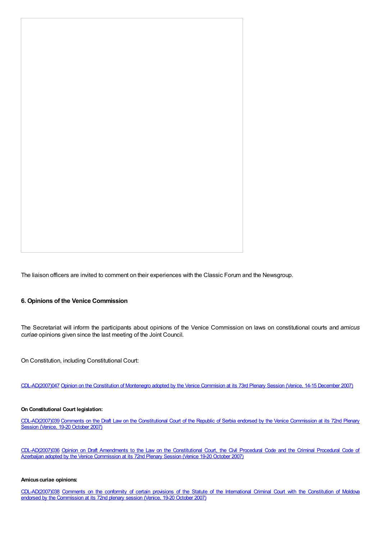The liaison officers are invited to comment on their experiences with the Classic Forum and the Newsgroup.

#### **6. Opinions of the Venice Commission**

The Secretariat will inform the participants about opinions of the Venice Commission on laws on constitutional courts and *amicus curiae* opinions given since the last meeting of the Joint Council.

On Constitution, including Constitutional Court:

[CDL-AD\(2007\)047](E:../docs/2007/CDL-AD(2007)047-e.asp) Opinion on the [Constitution](http://www.venice.coe.int/docs/2007/CDL-AD(2007)047-e.asp) of Montenegro adopted by the Venice Commision at its 73rd Plenary Session (Venice, 14-15 December 2007)

#### **On Constitutional Court legislation:**

[CDL-AD\(2007\)039](http://www.venice.coe.int/docs/2007/CDL-AD(2007)039-e.asp) Comments on the Draft Law on the Constitutional Court of the Republic of Serbia endorsed by the Venice Commission at its 72nd Plenary Session (Venice, 19-20 October 2007)

[CDL-AD\(2007\)036](http://www.venice.coe.int/docs/2007/CDL-AD(2007)036-e.asp) Opinion on Draft Amendments to the Law on the Constitutional Court, the Civil Procedural Code and the Criminal Procedural Code of Azerbaijan adopted by the Venice Commission at its 72nd Plenary Session (Venice 19-20 October 2007)

#### **Amicus curiae opinions:**

[CDL-AD\(2007\)038](http://www.venice.coe.int/docs/2007/CDL-AD(2007)038-e.asp) Comments on the conformity of certain provisions of the Statute of the International Criminal Court with the Constitution of Moldova endorsed by the Commission at its 72nd plenary session (Venice, 19-20 October 2007)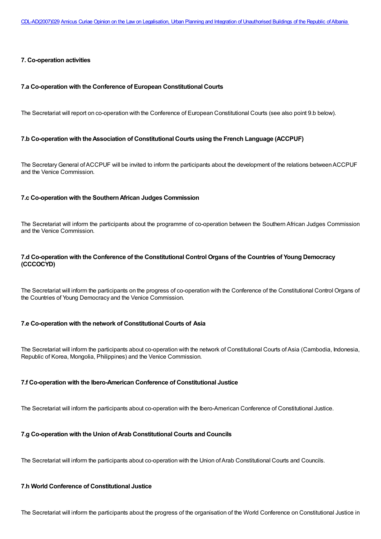#### **7. Co-operation activities**

#### **7.a Co-operation with the Conference of European Constitutional Courts**

The Secretariat will report on co-operation with the Conference of European Constitutional Courts (see also point 9.b below).

#### **7.b Co-operation with theAssociation of Constitutional Courts using the French Language (ACCPUF)**

The Secretary General of ACCPUF will be invited to inform the participants about the development of the relations between ACCPUF and the Venice Commission.

#### **7.c Co-operation with the SouthernAfrican Judges Commission**

The Secretariat will inform the participants about the programme of co-operation between the Southern African Judges Commission and the Venice Commission.

# **7.d Co-operation with the Conference of the Constitutional Control Organs of the Countries of Young Democracy (CCCOCYD)**

The Secretariat will inform the participants on the progress of co-operation with the Conference of the Constitutional Control Organs of the Countries of Young Democracy and the Venice Commission.

## **7.e Co-operation with the network of Constitutional Courts of Asia**

The Secretariat will inform the participants about co-operation with the network of Constitutional Courts ofAsia (Cambodia, Indonesia, Republic of Korea, Mongolia, Philippines) and the Venice Commission.

#### **7.f Co-operation with the Ibero-American Conference of Constitutional Justice**

The Secretariat will inform the participants about co-operation with the Ibero-American Conference of Constitutional Justice.

## **7.g Co-operation with the Union ofArab Constitutional Courts and Councils**

The Secretariat will inform the participants about co-operation with the Union of Arab Constitutional Courts and Councils.

#### **7.h World Conference of Constitutional Justice**

The Secretariat will inform the participants about the progress of the organisation of the World Conference on Constitutional Justice in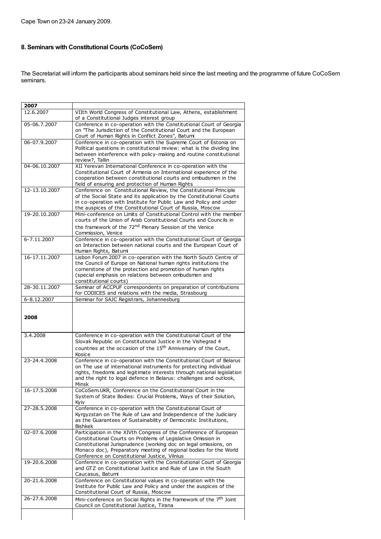# **8. Seminars with Constitutional Courts (CoCoSem)**

The Secretariat will inform the participants about seminars held since the last meeting and the programme of future CoCoSem seminars.

| 2007          |                                                                                                                                                                                                                                                                                                                             |  |
|---------------|-----------------------------------------------------------------------------------------------------------------------------------------------------------------------------------------------------------------------------------------------------------------------------------------------------------------------------|--|
| 12.6.2007     | VIIth World Congress of Constitutional Law, Athens, establishment<br>of a Constitutional Judges interest group                                                                                                                                                                                                              |  |
| 05-06.7.2007  | Conference in co-operation with the Constitutional Court of Georgia<br>on "The Jurisdiction of the Constitutional Court and the European<br>Court of Human Rights in Conflict Zones", Batumi                                                                                                                                |  |
| 06-07.9.2007  | Conference in co-operation with the Supreme Court of Estonia on<br>Political questions in constitutional review: what is the dividing line<br>between interference with policy-making and routine constitutional<br>review?, Tallin                                                                                         |  |
| 04-06.10.2007 | XII Yerevan International Conference in co-operation with the<br>Constitutional Court of Armenia on International experience of the<br>cooperation between constitutional courts and ombudsmen in the<br>field of ensuring and protection of Human Rights                                                                   |  |
| 12-13.10.2007 | Conference on Constitutional Review, the Constitutional Principle<br>of the Social State and its application by the Constitutional Courts<br>in co-operation with Institute for Public Law and Policy and under<br>the auspices of the Constitutional Court of Russia, Moscow                                               |  |
| 19-20.10.2007 | Mini-conference on Limits of Constitutional Control with the member<br>courts of the Union of Arab Constitutional Courts and Councils in<br>the framework of the 72 <sup>nd</sup> Plenary Session of the Venice<br>Commission, Venice                                                                                       |  |
| 6-7.11.2007   | Conference in co-operation with the Constitutional Court of Georgia<br>on Interaction between national courts and the European Court of<br>Human Rights, Batumi                                                                                                                                                             |  |
| 16-17.11.2007 | Lisbon Forum 2007 in co-operation with the North South Centre of<br>the Council of Europe on National human rights institutions the<br>cornerstone of the protection and promotion of human rights<br>(special emphasis on relations between ombudsmen and<br>constitutional courts)                                        |  |
| 28-30.11.2007 | Seminar of ACCPUF correspondents on preparation of contributions<br>for CODICES and relations with the media, Strasbourg                                                                                                                                                                                                    |  |
| 6-8.12.2007   | Seminar for SAJC Registrars, Johannesburg                                                                                                                                                                                                                                                                                   |  |
| 2008          |                                                                                                                                                                                                                                                                                                                             |  |
| 3.4.2008      | Conference in co-operation with the Constitutional Court of the<br>Slovak Republic on Constitutional Justice in the Vishegrad 4<br>countries at the occasion of the 15 <sup>th</sup> Anniversary of the Court,<br>Kosice                                                                                                    |  |
| 23-24.4.2008  | Conference in co-operation with the Constitutional Court of Belarus<br>on The use of international instruments for protecting individual<br>rights, freedoms and legitimate interests through national legislation<br>and the right to legal defence in Belarus: challenges and outlook,<br>Minsk                           |  |
| 16-17.5.2008  | CoCoSem.UKR, Conference on the Constitutional Court in the<br>System of State Bodies: Crucial Problems, Ways of their Solution,<br>Kyiv                                                                                                                                                                                     |  |
| 27-28.5.2008  | Conference in co-operation with the Constitutional Court of<br>Kyrgyzstan on The Rule of Law and Independence of the Judiciary<br>as the Guarantees of Sustainability of Democratic Institutions,<br>Bishkek                                                                                                                |  |
| 02-07.6.2008  | Participation in the XIVth Congress of the Conference of European<br>Constitutional Courts on Problems of Legislative Omission in<br>Constitutional Jurisprudence (working doc on legal omissions, on<br>Monaco doc), Preparatory meeting of regional bodies for the World<br>Conference on Constitutional Justice, Vilnius |  |
| 19-20.6.2008  | Conference in co-operation with the Constitutional Court of Georgia<br>and GTZ on Constitutional Justice and Rule of Law in the South<br>Caucasus, Batumi                                                                                                                                                                   |  |
| 20-21.6.2008  | Conference on Constitutional values in co-operation with the<br>Institute for Public Law and Policy and under the auspices of the<br>Constitutional Court of Russia, Moscow                                                                                                                                                 |  |
| 26-27.6.2008  | Mini-conference on Social Rights in the framework of the 7 <sup>th</sup> Joint<br>Council on Constitutional Justice, Tirana                                                                                                                                                                                                 |  |
|               |                                                                                                                                                                                                                                                                                                                             |  |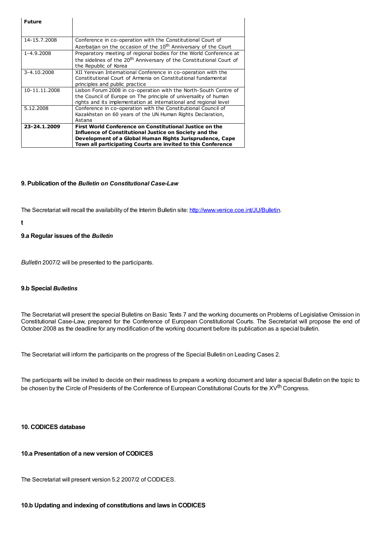| <b>Future</b> |                                                                                  |
|---------------|----------------------------------------------------------------------------------|
| 14-15.7.2008  | Conference in co-operation with the Constitutional Court of                      |
|               | Azerbaijan on the occasion of the 10 <sup>th</sup> Anniversary of the Court      |
| 1-4.9.2008    | Preparatory meeting of regional bodies for the World Conference at               |
|               | the sidelines of the 20 <sup>th</sup> Anniversary of the Constitutional Court of |
|               | the Republic of Korea                                                            |
| 3-4.10.2008   | XII Yerevan International Conference in co-operation with the                    |
|               | Constitutional Court of Armenia on Constitutional fundamental                    |
|               | principles and public practice                                                   |
| 10-11.11.2008 | Lisbon Forum 2008 in co-operation with the North-South Centre of                 |
|               | the Council of Europe on The principle of universality of human                  |
|               | rights and its implementation at international and regional level                |
| 5.12.2008     | Conference in co-operation with the Constitutional Council of                    |
|               | Kazakhstan on 60 years of the UN Human Rights Declaration,                       |
|               | Astana                                                                           |
| 23-24.1.2009  | First World Conference on Constitutional Justice on the                          |
|               | <b>Influence of Constitutional Justice on Society and the</b>                    |
|               | Development of a Global Human Rights Jurisprudence, Cape                         |
|               | Town all participating Courts are invited to this Conference                     |

#### **9. Publication of the** *Bulletin on Constitutional Case-Law*

The Secretariat will recall the availability of the Interim Bulletin site: <http://www.venice.coe.int/JU/Bulletin>.

**t**

#### **9.a Regular issues of the** *Bulletin*

*Bulletin* 2007/2 will be presented to the participants.

#### **9.b Special** *Bulletins*

The Secretariat will present the special Bulletins on Basic Texts 7 and the working documents on Problems of Legislative Omission in Constitutional Case-Law, prepared for the Conference of European Constitutional Courts. The Secretariat will propose the end of October 2008 as the deadline for any modification of the working document before its publication as a special bulletin.

The Secretariat will inform the participants on the progress of the Special Bulletin on Leading Cases 2.

The participants will be invited to decide on their readiness to prepare a working document and later a special Bulletin on the topic to be chosen by the Circle of Presidents of the Conference of European Constitutional Courts for the XV<sup>th</sup> Congress.

# **10. CODICES database**

# **10.a Presentation of a new version of CODICES**

The Secretariat will present version 5.2 2007/2 of CODICES.

#### **10.b Updating and indexing of constitutions and laws in CODICES**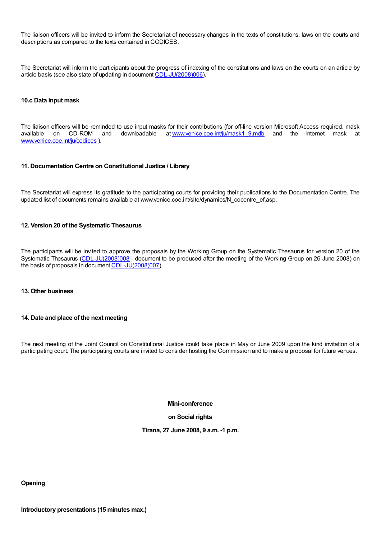The liaison officers will be invited to inform the Secretariat of necessary changes in the texts of constitutions, laws on the courts and descriptions as compared to the texts contained in CODICES.

The Secretariat will inform the participants about the progress of indexing of the constitutions and laws on the courts on an article by article basis (see also state of updating in document [CDL-JU\(2008\)006](E:../restricted/2008/CDL-JU(2008)006-e.asp)).

#### **10.c Data input mask**

The liaison officers will be reminded to use input masks for their contributions (for off-line version Microsoft Access required, mask available on CD-ROM and downloadable at www.venice.coe.int/ju/mask1\_9.mdb and the Inter downloadable at [www.venice.coe.int/ju/mask1\\_9.mdb](http://www.venice.coe.int/ju/mask1_9.mdb) and the Internet mask at [www.venice.coe.int/ju/codices](http://www.venice.coe.int/ju/codices) ).

#### **11. Documentation Centre on Constitutional Justice / Library**

The Secretariat will express its gratitude to the participating courts for providing their publications to the Documentation Centre. The updated list of documents remains available at [www.venice.coe.int/site/dynamics/N\\_cocentre\\_ef.asp](http://www.venice.coe.int/site/dynamics/N_cocentre_ef.asp).

#### **12. Version 20 of the Systematic Thesaurus**

The participants will be invited to approve the proposals by the Working Group on the Systematic Thesaurus for version 20 of the Systematic Thesaurus [\(CDL-JU\(2008\)008](E:../restricted/2008/CDL-JU(2008)008-e.asp) - document to be produced after the meeting of the Working Group on 26 June 2008) on the basis of proposals in document [CDL-JU\(2008\)007](E:../restricted/2008/CDL-JU(2008)007-e.asp)).

#### **13. Other business**

#### **14. Date and place of the next meeting**

The next meeting of the Joint Council on Constitutional Justice could take place in May or June 2009 upon the kind invitation of a participating court. The participating courts are invited to consider hosting the Commission and to make a proposal for future venues.

**Mini-conference**

#### **on Social rights**

#### **Tirana, 27 June 2008, 9 a.m. -1 p.m.**

**Opening**